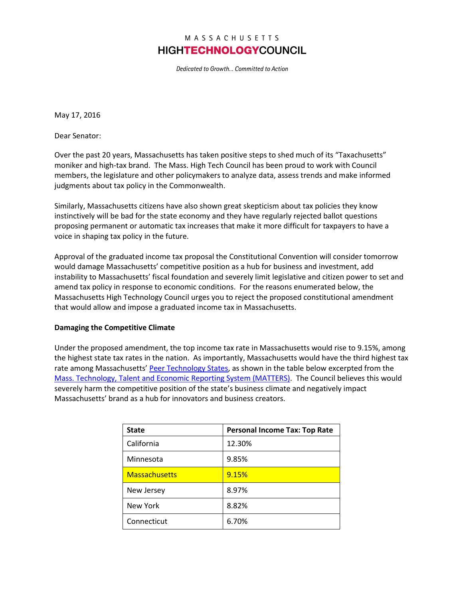## MASSACHUSETTS **HIGHTECHNOLOGYCOUNCIL**

Dedicated to Growth... Committed to Action

May 17, 2016

Dear Senator:

Over the past 20 years, Massachusetts has taken positive steps to shed much of its "Taxachusetts" moniker and high-tax brand. The Mass. High Tech Council has been proud to work with Council members, the legislature and other policymakers to analyze data, assess trends and make informed judgments about tax policy in the Commonwealth.

Similarly, Massachusetts citizens have also shown great skepticism about tax policies they know instinctively will be bad for the state economy and they have regularly rejected ballot questions proposing permanent or automatic tax increases that make it more difficult for taxpayers to have a voice in shaping tax policy in the future.

Approval of the graduated income tax proposal the Constitutional Convention will consider tomorrow would damage Massachusetts' competitive position as a hub for business and investment, add instability to Massachusetts' fiscal foundation and severely limit legislative and citizen power to set and amend tax policy in response to economic conditions. For the reasons enumerated below, the Massachusetts High Technology Council urges you to reject the proposed constitutional amendment that would allow and impose a graduated income tax in Massachusetts.

## **Damaging the Competitive Climate**

Under the proposed amendment, the top income tax rate in Massachusetts would rise to 9.15%, among the highest state tax rates in the nation. As importantly, Massachusetts would have the third highest tax rate among Massachusetts' [Peer Technology States,](http://matters.mhtc.org/about) as shown in the table below excerpted from the [Mass. Technology, Talent and Economic Reporting System \(MATTERS\).](http://matters.mhtc.org/about) The Council believes this would severely harm the competitive position of the state's business climate and negatively impact Massachusetts' brand as a hub for innovators and business creators.

| <b>State</b>         | <b>Personal Income Tax: Top Rate</b> |
|----------------------|--------------------------------------|
| California           | 12.30%                               |
| Minnesota            | 9.85%                                |
| <b>Massachusetts</b> | 9.15%                                |
| New Jersey           | 8.97%                                |
| New York             | 8.82%                                |
| Connecticut          | 6.70%                                |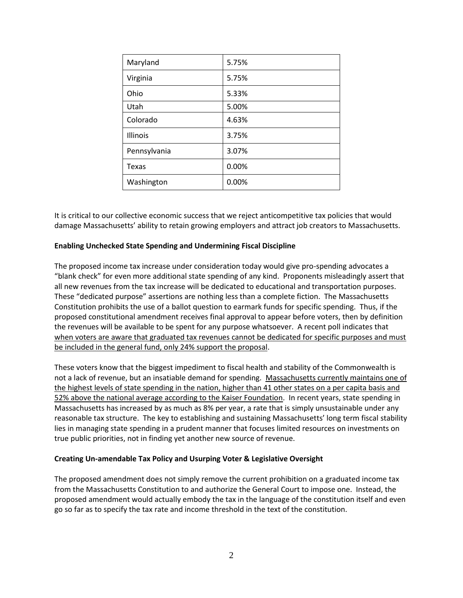| Maryland     | 5.75% |
|--------------|-------|
| Virginia     | 5.75% |
| Ohio         | 5.33% |
| Utah         | 5.00% |
| Colorado     | 4.63% |
| Illinois     | 3.75% |
| Pennsylvania | 3.07% |
| Texas        | 0.00% |
| Washington   | 0.00% |

It is critical to our collective economic success that we reject anticompetitive tax policies that would damage Massachusetts' ability to retain growing employers and attract job creators to Massachusetts.

## **Enabling Unchecked State Spending and Undermining Fiscal Discipline**

The proposed income tax increase under consideration today would give pro-spending advocates a "blank check" for even more additional state spending of any kind. Proponents misleadingly assert that all new revenues from the tax increase will be dedicated to educational and transportation purposes. These "dedicated purpose" assertions are nothing less than a complete fiction. The Massachusetts Constitution prohibits the use of a ballot question to earmark funds for specific spending. Thus, if the proposed constitutional amendment receives final approval to appear before voters, then by definition the revenues will be available to be spent for any purpose whatsoever. A recent poll indicates that when voters are aware that graduated tax revenues cannot be dedicated for specific purposes and must be included in the general fund, only 24% support the proposal.

These voters know that the biggest impediment to fiscal health and stability of the Commonwealth is not a lack of revenue, but an insatiable demand for spending. Massachusetts currently maintains one of the highest levels of state spending in the nation, higher than 41 other states on a per capita basis and 52% above the national average according to the Kaiser Foundation. In recent years, state spending in Massachusetts has increased by as much as 8% per year, a rate that is simply unsustainable under any reasonable tax structure. The key to establishing and sustaining Massachusetts' long term fiscal stability lies in managing state spending in a prudent manner that focuses limited resources on investments on true public priorities, not in finding yet another new source of revenue.

## **Creating Un-amendable Tax Policy and Usurping Voter & Legislative Oversight**

The proposed amendment does not simply remove the current prohibition on a graduated income tax from the Massachusetts Constitution to and authorize the General Court to impose one. Instead, the proposed amendment would actually embody the tax in the language of the constitution itself and even go so far as to specify the tax rate and income threshold in the text of the constitution.